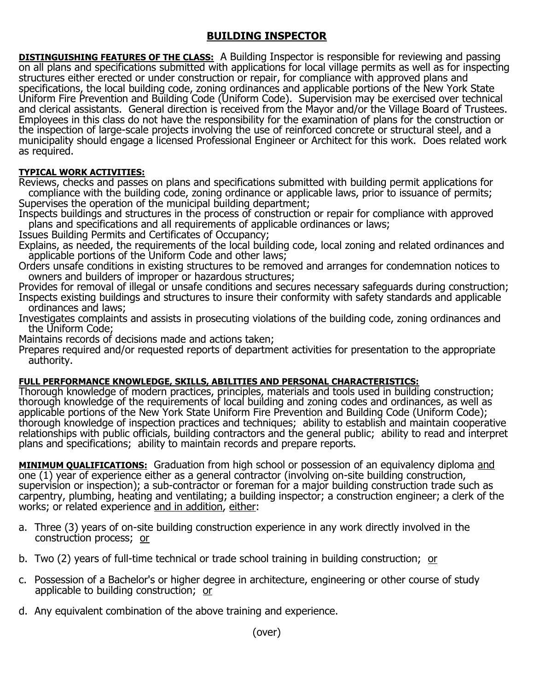## **BUILDING INSPECTOR**

**DISTINGUISHING FEATURES OF THE CLASS:** A Building Inspector is responsible for reviewing and passing on all plans and specifications submitted with applications for local village permits as well as for inspecting structures either erected or under construction or repair, for compliance with approved plans and specifications, the local building code, zoning ordinances and applicable portions of the New York State Uniform Fire Prevention and Building Code (Uniform Code). Supervision may be exercised over technical and clerical assistants. General direction is received from the Mayor and/or the Village Board of Trustees. Employees in this class do not have the responsibility for the examination of plans for the construction or the inspection of large-scale projects involving the use of reinforced concrete or structural steel, and a municipality should engage a licensed Professional Engineer or Architect for this work. Does related work as required.

## **TYPICAL WORK ACTIVITIES:**

Reviews, checks and passes on plans and specifications submitted with building permit applications for compliance with the building code, zoning ordinance or applicable laws, prior to issuance of permits; Supervises the operation of the municipal building department;

Inspects buildings and structures in the process of construction or repair for compliance with approved plans and specifications and all requirements of applicable ordinances or laws;

Issues Building Permits and Certificates of Occupancy;

Explains, as needed, the requirements of the local building code, local zoning and related ordinances and applicable portions of the Uniform Code and other laws;

Orders unsafe conditions in existing structures to be removed and arranges for condemnation notices to owners and builders of improper or hazardous structures;

Provides for removal of illegal or unsafe conditions and secures necessary safeguards during construction; Inspects existing buildings and structures to insure their conformity with safety standards and applicable ordinances and laws;

Investigates complaints and assists in prosecuting violations of the building code, zoning ordinances and the Uniform Code;

Maintains records of decisions made and actions taken;

Prepares required and/or requested reports of department activities for presentation to the appropriate authority.

## **FULL PERFORMANCE KNOWLEDGE, SKILLS, ABILITIES AND PERSONAL CHARACTERISTICS:**

Thorough knowledge of modern practices, principles, materials and tools used in building construction; thorough knowledge of the requirements of local building and zoning codes and ordinances, as well as applicable portions of the New York State Uniform Fire Prevention and Building Code (Uniform Code); thorough knowledge of inspection practices and techniques; ability to establish and maintain cooperative relationships with public officials, building contractors and the general public; ability to read and interpret plans and specifications; ability to maintain records and prepare reports.

**MINIMUM QUALIFICATIONS:** Graduation from high school or possession of an equivalency diploma and one (1) year of experience either as a general contractor (involving on-site building construction, supervision or inspection); a sub-contractor or foreman for a major building construction trade such as carpentry, plumbing, heating and ventilating; a building inspector; a construction engineer; a clerk of the works; or related experience and in addition, either:

- a. Three (3) years of on-site building construction experience in any work directly involved in the construction process; or
- b. Two (2) years of full-time technical or trade school training in building construction; or
- c. Possession of a Bachelor's or higher degree in architecture, engineering or other course of study applicable to building construction; or
- d. Any equivalent combination of the above training and experience.